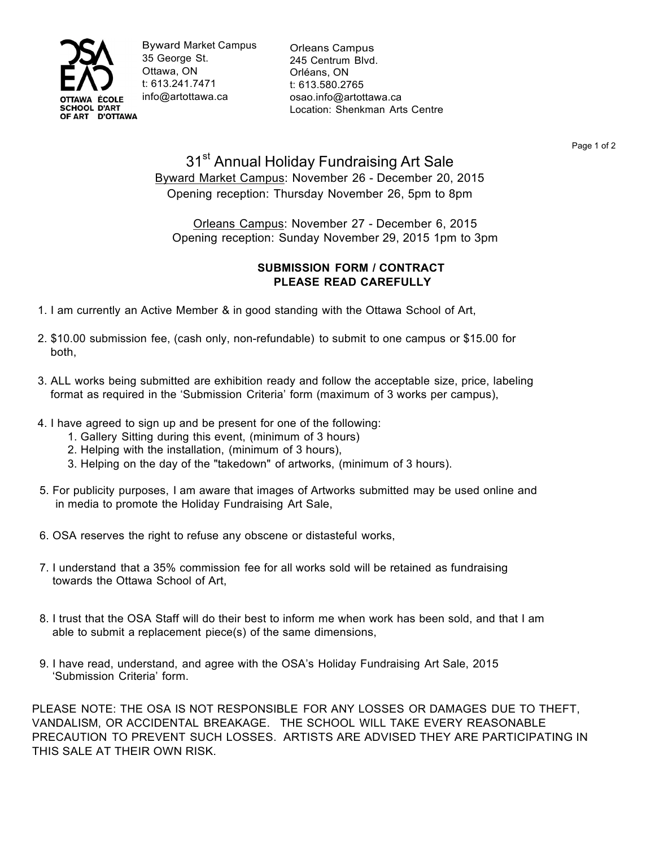

Byward Market Campus 35 George St. Ottawa, ON t: 613.241.7471 info@artottawa.ca

Orleans Campus 245 Centrum Blvd. Orléans, ON t: 613.580.2765 osao.info@artottawa.ca Location: Shenkman Arts Centre

Page 1 of 2

## 31<sup>st</sup> Annual Holiday Fundraising Art Sale Byward Market Campus: November 26 - December 20, 2015 Opening reception: Thursday November 26, 5pm to 8pm

Orleans Campus: November 27 - December 6, 2015 Opening reception: Sunday November 29, 2015 1pm to 3pm

## **SUBMISSION FORM / CONTRACT PLEASE READ CAREFULLY**

- 1. I am currently an Active Member & in good standing with the Ottawa School of Art,
- 2. \$10.00 submission fee, (cash only, non-refundable) to submit to one campus or \$15.00 for both,
- 3. ALL works being submitted are exhibition ready and follow the acceptable size, price, labeling format as required in the 'Submission Criteria' form (maximum of 3 works per campus),
- 4. I have agreed to sign up and be present for one of the following:
	- 1. Gallery Sitting during this event, (minimum of 3 hours)
	- 2. Helping with the installation, (minimum of 3 hours),
	- 3. Helping on the day of the "takedown" of artworks, (minimum of 3 hours).
- 5. For publicity purposes, I am aware that images of Artworks submitted may be used online and in media to promote the Holiday Fundraising Art Sale,
- 6. OSA reserves the right to refuse any obscene or distasteful works,
- 7. I understand that a 35% commission fee for all works sold will be retained as fundraising towards the Ottawa School of Art,
- 8. I trust that the OSA Staff will do their best to inform me when work has been sold, and that I am able to submit a replacement piece(s) of the same dimensions,
- 9. I have read, understand, and agree with the OSA's Holiday Fundraising Art Sale, 2015 'Submission Criteria' form.

PLEASE NOTE: THE OSA IS NOT RESPONSIBLE FOR ANY LOSSES OR DAMAGES DUE TO THEFT, VANDALISM, OR ACCIDENTAL BREAKAGE. THE SCHOOL WILL TAKE EVERY REASONABLE PRECAUTION TO PREVENT SUCH LOSSES. ARTISTS ARE ADVISED THEY ARE PARTICIPATING IN THIS SALE AT THEIR OWN RISK.